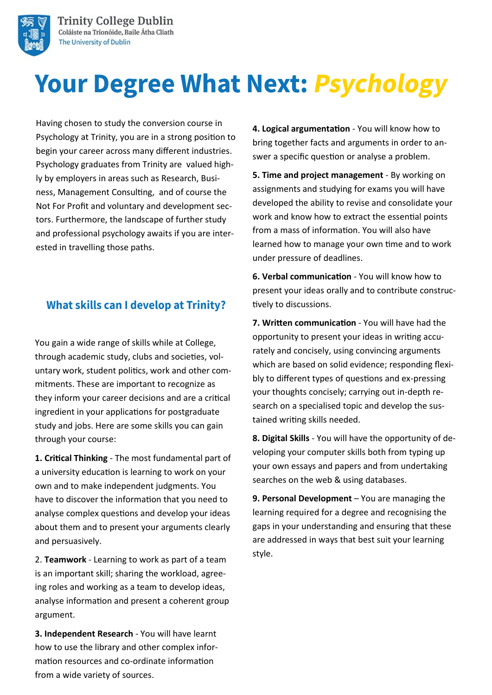

# **Your Degree What Next: Psychology**

Having chosen to study the conversion course in Psychology at Trinity, you are in a strong position to begin your career across many different industries. Psychology graduates from Trinity are valued highly by employers in areas such as Research, Business, Management Consulting, and of course the Not For Profit and voluntary and development sectors. Furthermore, the landscape of further study and professional psychology awaits if you are interested in travelling those paths.

## **What skills can I develop at Trinity?**

You gain a wide range of skills while at College, through academic study, clubs and societies, voluntary work, student politics, work and other commitments. These are important to recognize as they inform your career decisions and are a critical ingredient in your applications for postgraduate study and jobs. Here are some skills you can gain through your course:

**1. Critical Thinking** - The most fundamental part of a university education is learning to work on your own and to make independent judgments. You have to discover the information that you need to analyse complex questions and develop your ideas about them and to present your arguments clearly and persuasively.

2. **Teamwork** - Learning to work as part of a team is an important skill; sharing the workload, agreeing roles and working as a team to develop ideas, analyse information and present a coherent group argument.

**3. Independent Research** - You will have learnt how to use the library and other complex information resources and co-ordinate information from a wide variety of sources.

**4. Logical argumentation** - You will know how to bring together facts and arguments in order to answer a specific question or analyse a problem.

**5. Time and project management** - By working on assignments and studying for exams you will have developed the ability to revise and consolidate your work and know how to extract the essential points from a mass of information. You will also have learned how to manage your own time and to work under pressure of deadlines.

**6. Verbal communication** - You will know how to present your ideas orally and to contribute constructively to discussions.

**7. Written communication** - You will have had the opportunity to present your ideas in writing accurately and concisely, using convincing arguments which are based on solid evidence; responding flexibly to different types of questions and ex-pressing your thoughts concisely; carrying out in-depth research on a specialised topic and develop the sustained writing skills needed.

**8. Digital Skills** - You will have the opportunity of developing your computer skills both from typing up your own essays and papers and from undertaking searches on the web & using databases.

**9. Personal Development** – You are managing the learning required for a degree and recognising the gaps in your understanding and ensuring that these are addressed in ways that best suit your learning style.